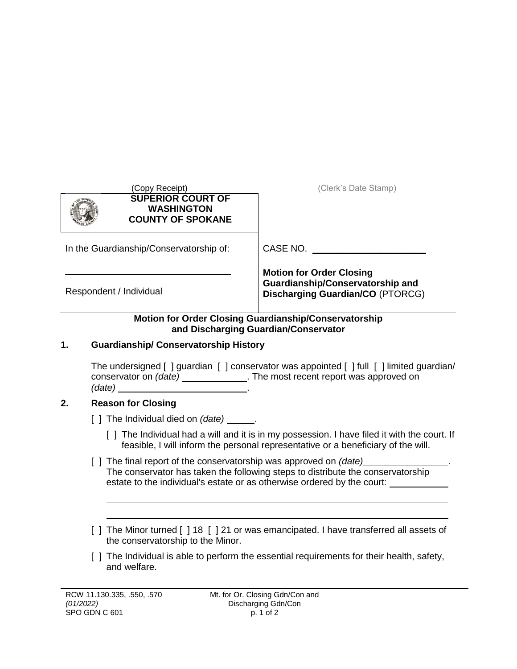| (Copy Receipt)                                                            | (Clerk's Date Stamp)                                                                                           |  |
|---------------------------------------------------------------------------|----------------------------------------------------------------------------------------------------------------|--|
| <b>SUPERIOR COURT OF</b><br><b>WASHINGTON</b><br><b>COUNTY OF SPOKANE</b> |                                                                                                                |  |
| In the Guardianship/Conservatorship of:                                   | CASE NO.                                                                                                       |  |
| Respondent / Individual                                                   | <b>Motion for Order Closing</b><br>Guardianship/Conservatorship and<br><b>Discharging Guardian/CO (PTORCG)</b> |  |

## **Motion for Order Closing Guardianship/Conservatorship and Discharging Guardian/Conservator**

# **1. Guardianship/ Conservatorship History**

The undersigned [ ] guardian [ ] conservator was appointed [ ] full [ ] limited guardian/ conservator on *(date)* \_\_\_\_\_\_\_\_\_\_\_\_\_\_. The most recent report was approved on *(date)* .

# **2. Reason for Closing**

- [ ] The Individual died on *(date)* \_\_\_\_\_\_.
	- [ ] The Individual had a will and it is in my possession. I have filed it with the court. If feasible, I will inform the personal representative or a beneficiary of the will.
- [ ] The final report of the conservatorship was approved on *(date)* The conservator has taken the following steps to distribute the conservatorship estate to the individual's estate or as otherwise ordered by the court:
- [ ] The Minor turned [ ] 18 [ ] 21 or was emancipated. I have transferred all assets of the conservatorship to the Minor.
- [ ] The Individual is able to perform the essential requirements for their health, safety, and welfare.